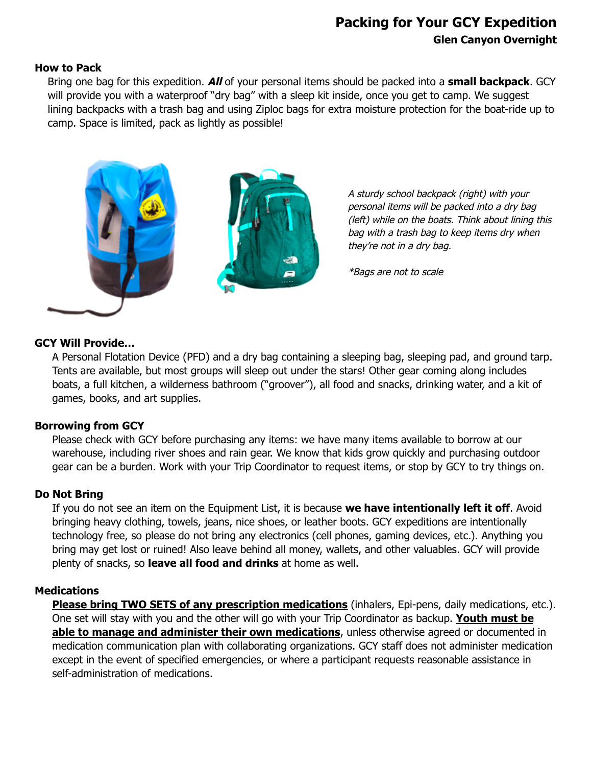# **Packing for Your GCY Expedition Glen Canyon Overnight**

#### **How to Pack**

Bring one bag for this expedition. **All** of your personal items should be packed into a **small backpack**. GCY will provide you with a waterproof "dry bag" with a sleep kit inside, once you get to camp. We suggest lining backpacks with a trash bag and using Ziploc bags for extra moisture protection for the boat-ride up to camp. Space is limited, pack as lightly as possible!



A sturdy school backpack (right) with your personal items will be packed into a dry bag (left) while on the boats. Think about lining this bag with a trash bag to keep items dry when they're not in a dry bag.

\*Bags are not to scale

#### **GCY Will Provide…**

A Personal Flotation Device (PFD) and a dry bag containing a sleeping bag, sleeping pad, and ground tarp. Tents are available, but most groups will sleep out under the stars! Other gear coming along includes boats, a full kitchen, a wilderness bathroom ("groover"), all food and snacks, drinking water, and a kit of games, books, and art supplies.

## **Borrowing from GCY**

Please check with GCY before purchasing any items: we have many items available to borrow at our warehouse, including river shoes and rain gear. We know that kids grow quickly and purchasing outdoor gear can be a burden. Work with your Trip Coordinator to request items, or stop by GCY to try things on.

## **Do Not Bring**

If you do not see an item on the Equipment List, it is because **we have intentionally left it off**. Avoid bringing heavy clothing, towels, jeans, nice shoes, or leather boots. GCY expeditions are intentionally technology free, so please do not bring any electronics (cell phones, gaming devices, etc.). Anything you bring may get lost or ruined! Also leave behind all money, wallets, and other valuables. GCY will provide plenty of snacks, so **leave all food and drinks** at home as well.

## **Medications**

**Please bring TWO SETS of any prescription medications** (inhalers, Epi-pens, daily medications, etc.). One set will stay with you and the other will go with your Trip Coordinator as backup. **Youth must be able to manage and administer their own medications**, unless otherwise agreed or documented in medication communication plan with collaborating organizations. GCY staff does not administer medication except in the event of specified emergencies, or where a participant requests reasonable assistance in self-administration of medications.